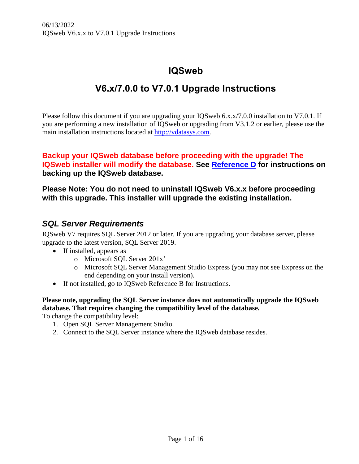# **IQSweb**

# **V6.x/7.0.0 to V7.0.1 Upgrade Instructions**

Please follow this document if you are upgrading your IQSweb 6.x.x/7.0.0 installation to V7.0.1. If you are performing a new installation of IQSweb or upgrading from V3.1.2 or earlier, please use the main installation instructions located at [http://vdatasys.com.](http://vdatasys.com/)

# **Backup your IQSweb database before proceeding with the upgrade! The IQSweb installer will modify the database. See [Reference D](https://www.vdatasys.com/download/docs/iqsweb/IQSwebRefD-DatabaseBackupInstructions.pdf) for instructions on backing up the IQSweb database.**

# **Please Note: You do not need to uninstall IQSweb V6.x.x before proceeding with this upgrade. This installer will upgrade the existing installation.**

# *SQL Server Requirements*

IQSweb V7 requires SQL Server 2012 or later. If you are upgrading your database server, please upgrade to the latest version, SQL Server 2019.

- If installed, appears as
	- o Microsoft SQL Server 201x'
	- o Microsoft SQL Server Management Studio Express (you may not see Express on the end depending on your install version).
- If not installed, go to IQSweb Reference B for Instructions.

**Please note, upgrading the SQL Server instance does not automatically upgrade the IQSweb database. That requires changing the compatibility level of the database.**

To change the compatibility level:

- 1. Open SQL Server Management Studio.
- 2. Connect to the SQL Server instance where the IQSweb database resides.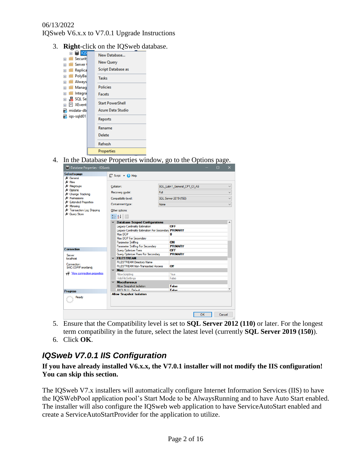3. **Right**-click on the IQSweb database.



4. In the Database Properties window, go to the Options page.

| Database Properties - IQSweb      |                      |                                                     |                       |                              |  | ⊓                        | $\times$             |
|-----------------------------------|----------------------|-----------------------------------------------------|-----------------------|------------------------------|--|--------------------------|----------------------|
| Select a page                     |                      | $\Box$ Script $\triangledown$ $\Box$ Help           |                       |                              |  |                          |                      |
| General                           |                      |                                                     |                       |                              |  |                          |                      |
| $\mathcal{L}$ Files<br>Filegroups |                      |                                                     |                       |                              |  |                          |                      |
| Cotions                           |                      | Collation:<br>Full<br>Recovery model:               |                       | SQL Latin1 General CP1 CI AS |  |                          | $\checkmark$         |
| Change Tracking                   |                      |                                                     |                       |                              |  |                          | $\ddot{\phantom{1}}$ |
| Fermissions                       | Compatibility level: |                                                     | SQL Server 2019 (150) |                              |  | $\overline{\phantom{0}}$ |                      |
| Extended Properties               |                      |                                                     |                       |                              |  |                          |                      |
| Mirroring                         |                      | Containment type:                                   | None                  |                              |  |                          |                      |
| F Transaction Log Shipping        |                      | Other options:                                      |                       |                              |  |                          |                      |
| <b>&amp;</b> Query Store          |                      |                                                     |                       |                              |  |                          |                      |
|                                   |                      | SE 21  <br>画                                        |                       |                              |  |                          |                      |
|                                   |                      | $\times$ Database Scoped Configurations             |                       |                              |  |                          |                      |
|                                   |                      | <b>Legacy Cardinality Estimation</b>                |                       | OFF                          |  |                          |                      |
|                                   |                      | Legacy Cardinality Estimation For Secondary PRIMARY |                       |                              |  |                          |                      |
|                                   |                      | Max DOP                                             |                       | 0                            |  |                          |                      |
|                                   |                      | Max DOP For Secondary                               |                       |                              |  |                          |                      |
|                                   |                      | <b>Parameter Sniffing</b>                           |                       | ON                           |  |                          |                      |
|                                   |                      | Parameter Sniffing For Secondary<br><b>PRIMARY</b>  |                       |                              |  |                          |                      |
| <b>Connection</b>                 |                      | <b>Query Optimizer Fixes</b>                        |                       | OFF                          |  |                          |                      |
| Server:                           |                      | <b>Query Optimizer Fixes For Secondary</b>          |                       | <b>PRIMARY</b>               |  |                          |                      |
| localhost                         |                      | $\times$ FILESTREAM                                 |                       |                              |  |                          |                      |
| Connection:                       |                      | <b>FILESTREAM Directory Name</b>                    |                       |                              |  |                          |                      |
| SAIC-CORP\mortlandj               |                      | <b>FILESTREAM Non-Transacted Access</b>             |                       | Off                          |  |                          |                      |
|                                   |                      | $\times$ Misc.                                      |                       |                              |  |                          |                      |
| vir View connection properties    |                      | Allow Scripting                                     |                       | True                         |  |                          |                      |
|                                   |                      | <b>HideFileSettings</b>                             |                       | False                        |  |                          |                      |
|                                   |                      | $\times$ Miscellaneous                              |                       |                              |  |                          |                      |
|                                   |                      | Allow Snapshot Isolation                            |                       | <b>False</b>                 |  |                          |                      |
| <b>Progress</b>                   |                      | <b>ANSI NULL Default</b>                            |                       | False                        |  |                          |                      |
| Ready                             |                      | <b>Allow Snapshot Isolation</b>                     |                       |                              |  |                          |                      |
|                                   |                      |                                                     |                       | OK                           |  | Cancel                   |                      |

- 5. Ensure that the Compatibility level is set to **SQL Server 2012 (110)** or later. For the longest term compatibility in the future, select the latest level (currently **SQL Server 2019 (150)**).
- 6. Click **OK**.

# *IQSweb V7.0.1 IIS Configuration*

**If you have already installed V6.x.x, the V7.0.1 installer will not modify the IIS configuration! You can skip this section.**

The IQSweb V7.x installers will automatically configure Internet Information Services (IIS) to have the IQSWebPool application pool's Start Mode to be AlwaysRunning and to have Auto Start enabled. The installer will also configure the IQSweb web application to have ServiceAutoStart enabled and create a ServiceAutoStartProvider for the application to utilize.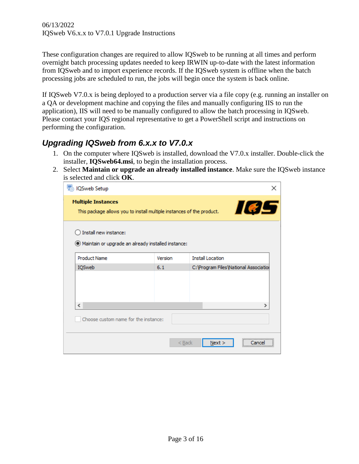These configuration changes are required to allow IQSweb to be running at all times and perform overnight batch processing updates needed to keep IRWIN up-to-date with the latest information from IQSweb and to import experience records. If the IQSweb system is offline when the batch processing jobs are scheduled to run, the jobs will begin once the system is back online.

If IQSweb V7.0.x is being deployed to a production server via a file copy (e.g. running an installer on a QA or development machine and copying the files and manually configuring IIS to run the application), IIS will need to be manually configured to allow the batch processing in IQSweb. Please contact your IQS regional representative to get a PowerShell script and instructions on performing the configuration.

# *Upgrading IQSweb from 6.x.x to V7.0.x*

- 1. On the computer where IQSweb is installed, download the V7.0.x installer. Double-click the installer, **IQSweb64.msi**, to begin the installation process.
- 2. Select **Maintain or upgrade an already installed instance**. Make sure the IQSweb instance is selected and click **OK**.

| OSweb Setup                                                                                        |          |                                         |   |
|----------------------------------------------------------------------------------------------------|----------|-----------------------------------------|---|
| <b>Multiple Instances</b><br>This package allows you to install multiple instances of the product. |          | 165                                     |   |
| Install new instance:<br>Maintain or upgrade an already installed instance:                        |          |                                         |   |
| <b>Product Name</b>                                                                                | Version  | <b>Install Location</b>                 |   |
| <b>IQSweb</b>                                                                                      | 6.1      | C: \Program Files \National Association |   |
| ∢                                                                                                  |          |                                         | ⋗ |
| Choose custom name for the instance:                                                               |          |                                         |   |
|                                                                                                    | $<$ Back | Next                                    |   |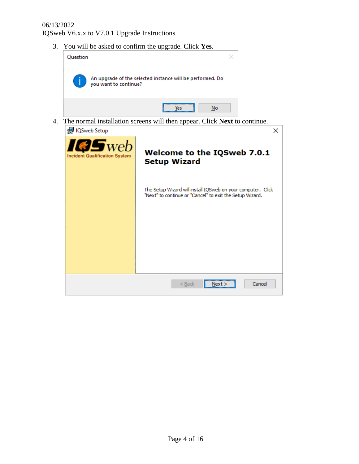3. You will be asked to confirm the upgrade. Click **Yes**.



4. The normal installation screens will then appear. Click **Next** to continue.

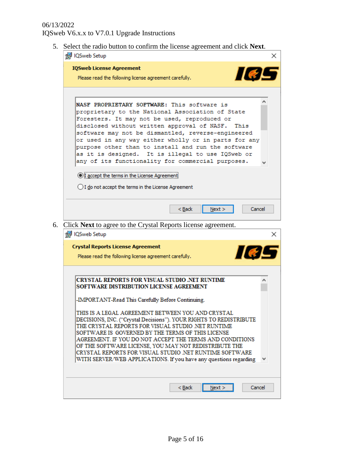5. Select the radio button to confirm the license agreement and click **Next**.

| <b>R</b> IQSweb Setup                                                                                            |  |
|------------------------------------------------------------------------------------------------------------------|--|
| <b>IQSweb License Agreement</b><br>$H \in L$                                                                     |  |
| Please read the following license agreement carefully.                                                           |  |
|                                                                                                                  |  |
| NASF PROPRIETARY SOFTWARE: This software is<br>proprietary to the National Association of State                  |  |
| Foresters. It may not be used, reproduced or                                                                     |  |
| disclosed without written approval of NASF.<br>This                                                              |  |
| software may not be dismantled, reverse-engineered                                                               |  |
| or used in any way either wholly or in parts for any<br>purpose other than to install and run the software       |  |
| as it is designed. It is illegal to use IQSweb or                                                                |  |
| any of its functionality for commercial purposes.                                                                |  |
| <b>I</b> accept the terms in the License Agreement                                                               |  |
| $\bigcirc$ I do not accept the terms in the License Agreement                                                    |  |
|                                                                                                                  |  |
| Next                                                                                                             |  |
| $Back$<br>Cancel                                                                                                 |  |
|                                                                                                                  |  |
| Click Next to agree to the Crystal Reports license agreement.                                                    |  |
| IQSweb Setup                                                                                                     |  |
|                                                                                                                  |  |
| <b>Crystal Reports License Agreement</b><br><b>II</b> &                                                          |  |
| Please read the following license agreement carefully.                                                           |  |
|                                                                                                                  |  |
| CRYSTAL REPORTS FOR VISUAL STUDIO .NET RUNTIME                                                                   |  |
| SOFTWARE DISTRIBUTION LICENSE AGREEMENT                                                                          |  |
| -IMPORTANT-Read This Carefully Before Continuing.                                                                |  |
| THIS IS A LEGAL AGREEMENT BETWEEN YOU AND CRYSTAL                                                                |  |
| DECISIONS, INC. ("Crystal Decisions"). YOUR RIGHTS TO REDISTRIBUTE                                               |  |
| THE CRYSTAL REPORTS FOR VISUAL STUDIO NET RUNTIME                                                                |  |
| SOFTWARE IS GOVERNED BY THE TERMS OF THIS LICENSE                                                                |  |
| AGREEMENT. IF YOU DO NOT ACCEPT THE TERMS AND CONDITIONS                                                         |  |
| OF THE SOFTWARE LICENSE, YOU MAY NOT REDISTRIBUTE THE<br>CRYSTAL REPORTS FOR VISUAL STUDIO .NET RUNTIME SOFTWARE |  |
| WITH SERVER/WEB APPLICATIONS. If you have any questions regarding                                                |  |
|                                                                                                                  |  |
|                                                                                                                  |  |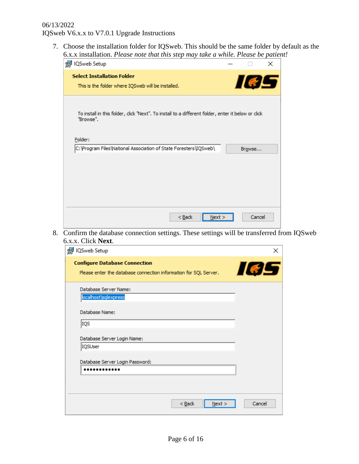7. Choose the installation folder for IQSweb. This should be the same folder by default as the 6.x.x installation. *Please note that this step may take a while. Please be patient!*

| $\frac{1}{2}$<br><b>P</b> IQSweb Setup                                                                        |        | × |
|---------------------------------------------------------------------------------------------------------------|--------|---|
| <b>Select Installation Folder</b><br>This is the folder where IQSweb will be installed.                       | 165    |   |
| To install in this folder, dick "Next". To install to a different folder, enter it below or dick<br>"Browse". |        |   |
| Folder:<br>C: \Program Files\National Association of State Foresters\IQSweb\                                  | Browse |   |
| $Back$<br>Next >                                                                                              | Cancel |   |

8. Confirm the database connection settings. These settings will be transferred from IQSweb 6.x.x. Click **Next**.

| <sup>1</sup> IQSweb Setup                                                                                | ×      |
|----------------------------------------------------------------------------------------------------------|--------|
| <b>Configure Database Connection</b><br>Please enter the database connection information for SQL Server. | 165    |
| Database Server Name:<br>localhost\sqlexpress                                                            |        |
| Database Name:<br>IQS                                                                                    |        |
| Database Server Login Name:                                                                              |        |
| IQSUser<br>Database Server Login Password:                                                               |        |
|                                                                                                          |        |
| $<$ Back<br>Next >                                                                                       | Cancel |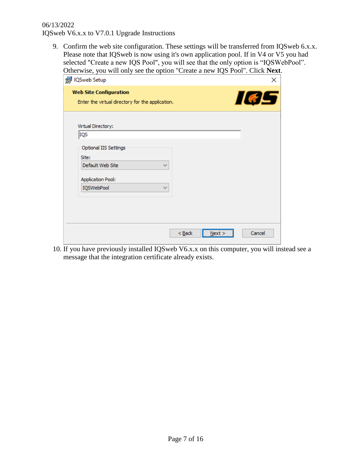9. Confirm the web site configuration. These settings will be transferred from IQSweb 6.x.x. Please note that IQSweb is now using it's own application pool. If in V4 or V5 you had selected "Create a new IQS Pool", you will see that the only option is "IQSWebPool". Otherwise, you will only see the option "Create a new IQS Pool". Click **Next**.

| . <u>.</u><br>--- <i>-</i> -- <i>--</i> -<br>id IQSweb Setup                      | ×      |
|-----------------------------------------------------------------------------------|--------|
| <b>Web Site Configuration</b><br>Enter the virtual directory for the application. | 105    |
| Virtual Directory:<br>IQS                                                         |        |
| Optional IIS Settings<br>Site:<br>Default Web Site<br>$\checkmark$                |        |
| <b>Application Pool:</b><br>IQSWebPool<br>$\checkmark$                            |        |
|                                                                                   |        |
| $Back$<br>Next                                                                    | Cancel |

10. If you have previously installed IQSweb V6.x.x on this computer, you will instead see a message that the integration certificate already exists.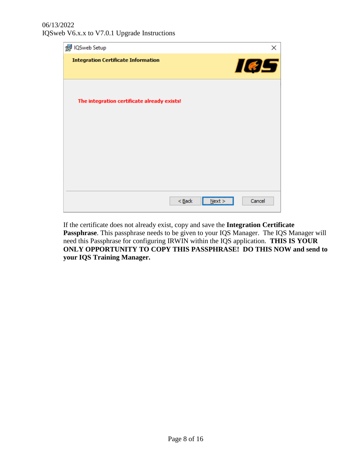

If the certificate does not already exist, copy and save the **Integration Certificate Passphrase**. This passphrase needs to be given to your IQS Manager. The IQS Manager will need this Passphrase for configuring IRWIN within the IQS application. **THIS IS YOUR ONLY OPPORTUNITY TO COPY THIS PASSPHRASE! DO THIS NOW and send to your IQS Training Manager.**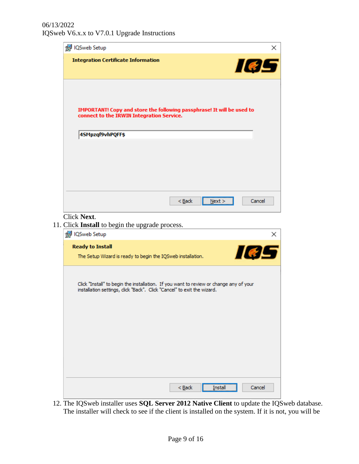| IQSweb Setup<br>×                                                                                                                                                 |
|-------------------------------------------------------------------------------------------------------------------------------------------------------------------|
| <b>Integration Certificate Information</b><br>IeE                                                                                                                 |
| IMPORTANT! Copy and store the following passphrase! It will be used to<br>connect to the IRWIN Integration Service.<br>4SMpzqf9vhPQFF\$                           |
|                                                                                                                                                                   |
| $Back$<br>Next<br>Cancel                                                                                                                                          |
| Click Next.<br>11. Click Install to begin the upgrade process.                                                                                                    |
| <b>P</b> IQSweb Setup<br>×                                                                                                                                        |
| <b>Ready to Install</b><br><b>IGL</b><br>The Setup Wizard is ready to begin the IQSweb installation.                                                              |
| Click "Install" to begin the installation. If you want to review or change any of your<br>installation settings, click "Back". Click "Cancel" to exit the wizard. |
|                                                                                                                                                                   |

12. The IQSweb installer uses **SQL Server 2012 Native Client** to update the IQSweb database. The installer will check to see if the client is installed on the system. If it is not, you will be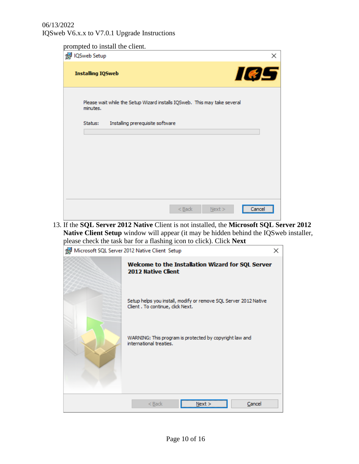prompted to install the client.

| ICSweb Setup                                                                          | ×                          |
|---------------------------------------------------------------------------------------|----------------------------|
| <b>Installing IQSweb</b>                                                              | 105                        |
| Please wait while the Setup Wizard installs IQSweb. This may take several<br>minutes. |                            |
| Installing prerequisite software<br>Status:                                           |                            |
|                                                                                       |                            |
|                                                                                       |                            |
|                                                                                       |                            |
|                                                                                       |                            |
|                                                                                       |                            |
|                                                                                       | $Back$<br>Next ><br>Cancel |

13. If the **SQL Server 2012 Native** Client is not installed, the **Microsoft SQL Server 2012 Native Client Setup** window will appear (it may be hidden behind the IQSweb installer, please check the task bar for a flashing icon to click). Click **Next**

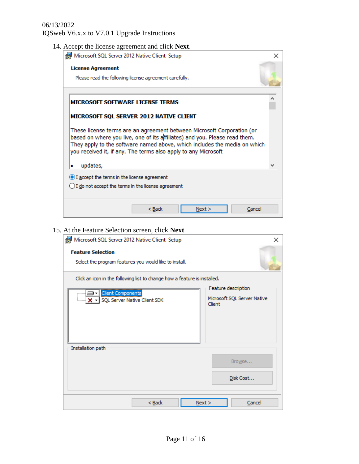14. Accept the license agreement and click **Next**.

| Microsoft SQL Server 2012 Native Client Setup                                                                                                                                                                                                                                                       | x |
|-----------------------------------------------------------------------------------------------------------------------------------------------------------------------------------------------------------------------------------------------------------------------------------------------------|---|
| <b>License Agreement</b>                                                                                                                                                                                                                                                                            |   |
| Please read the following license agreement carefully.                                                                                                                                                                                                                                              |   |
|                                                                                                                                                                                                                                                                                                     |   |
| MICROSOFT SOFTWARE LICENSE TERMS                                                                                                                                                                                                                                                                    |   |
| MICROSOFT SQL SERVER 2012 NATIVE CLIENT                                                                                                                                                                                                                                                             |   |
| These license terms are an agreement between Microsoft Corporation (or<br>based on where you live, one of its affiliates) and you. Please read them.<br>They apply to the software named above, which includes the media on which<br>you received it, if any. The terms also apply to any Microsoft |   |
| updates,                                                                                                                                                                                                                                                                                            |   |
| I accept the terms in the license agreement<br>$\bigcirc$ I do not accept the terms in the license agreement                                                                                                                                                                                        |   |
| $<$ Back<br>Cancel<br>Next >                                                                                                                                                                                                                                                                        |   |

## 15. At the Feature Selection screen, click **Next**.

| Microsoft SQL Server 2012 Native Client Setup                                         | ×                                                            |
|---------------------------------------------------------------------------------------|--------------------------------------------------------------|
| <b>Feature Selection</b><br>Select the program features you would like to install.    |                                                              |
| Click an icon in the following list to change how a feature is installed.             |                                                              |
| <b>Client Components</b><br>⊟∽l<br>$\frac{1}{2}$ $\cdot$ SQL Server Native Client SDK | Feature description<br>Microsoft SQL Server Native<br>Client |
| Installation path                                                                     |                                                              |
|                                                                                       | Browse                                                       |
|                                                                                       | Disk Cost                                                    |
| $Back$                                                                                | Next ><br>Cancel                                             |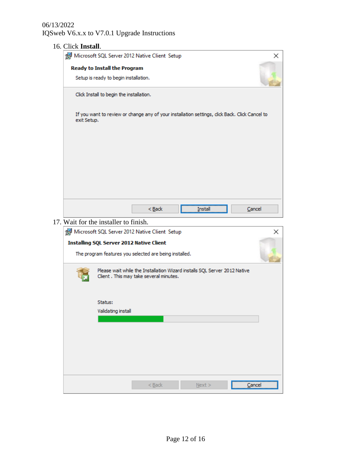| 16. Click Install. |                                          |                                                        |                                                                           |                                                                                                |
|--------------------|------------------------------------------|--------------------------------------------------------|---------------------------------------------------------------------------|------------------------------------------------------------------------------------------------|
|                    |                                          | Microsoft SQL Server 2012 Native Client Setup          |                                                                           | ×                                                                                              |
|                    | <b>Ready to Install the Program</b>      |                                                        |                                                                           |                                                                                                |
|                    | Setup is ready to begin installation.    |                                                        |                                                                           |                                                                                                |
|                    | Click Install to begin the installation. |                                                        |                                                                           |                                                                                                |
| exit Setup.        |                                          |                                                        |                                                                           | If you want to review or change any of your installation settings, click Back. Click Cancel to |
|                    |                                          |                                                        |                                                                           |                                                                                                |
|                    |                                          |                                                        |                                                                           |                                                                                                |
|                    |                                          |                                                        |                                                                           |                                                                                                |
|                    |                                          |                                                        |                                                                           |                                                                                                |
|                    |                                          | $<$ Back                                               | Install                                                                   | Cancel                                                                                         |
|                    | 17. Wait for the installer to finish.    |                                                        |                                                                           |                                                                                                |
|                    |                                          | Microsoft SQL Server 2012 Native Client Setup          |                                                                           | $\times$                                                                                       |
|                    |                                          | <b>Installing SQL Server 2012 Native Client</b>        |                                                                           |                                                                                                |
|                    |                                          | The program features you selected are being installed. |                                                                           |                                                                                                |
|                    |                                          | Client. This may take several minutes.                 | Please wait while the Installation Wizard installs SQL Server 2012 Native |                                                                                                |
|                    | Status:                                  |                                                        |                                                                           |                                                                                                |
|                    | Validating install                       |                                                        |                                                                           |                                                                                                |
|                    |                                          |                                                        |                                                                           |                                                                                                |
|                    |                                          |                                                        |                                                                           |                                                                                                |
|                    |                                          |                                                        |                                                                           |                                                                                                |
|                    |                                          |                                                        |                                                                           |                                                                                                |
|                    |                                          |                                                        |                                                                           |                                                                                                |
|                    |                                          | $<$ Back                                               | $N$ ext >                                                                 | Cancel                                                                                         |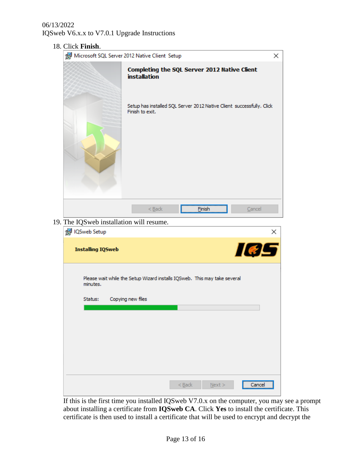| Microsoft SQL Server 2012 Native Client Setup                                            | × |
|------------------------------------------------------------------------------------------|---|
| Completing the SQL Server 2012 Native Client<br><b>installation</b>                      |   |
| Setup has installed SQL Server 2012 Native Client successfully. Click<br>Finish to exit. |   |
| Finish<br>$Back$<br>Cancel<br>19. The IQSweb installation will resume.<br>IQSweb Setup   | × |
| IØS<br><b>Installing IQSweb</b>                                                          |   |
| Please wait while the Setup Wizard installs IQSweb. This may take several<br>minutes.    |   |
| Copying new files<br>Status:                                                             |   |
|                                                                                          |   |
|                                                                                          |   |
|                                                                                          |   |
|                                                                                          |   |

If this is the first time you installed IQSweb V7.0.x on the computer, you may see a prompt about installing a certificate from **IQSweb CA**. Click **Yes** to install the certificate. This certificate is then used to install a certificate that will be used to encrypt and decrypt the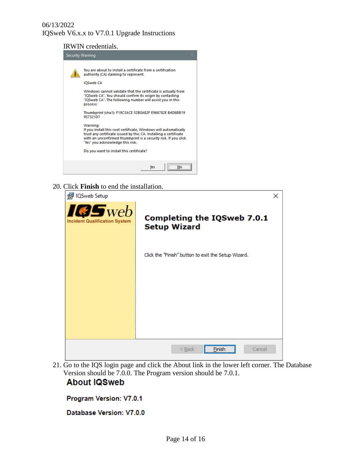IRWIN credentials.



20. Click **Finish** to end the installation.



21. Go to the IQS login page and click the About link in the lower left corner. The Database Version should be 7.0.0. The Program version should be 7.0.1.

# **About IQSweb**

Program Version: V7.0.1

Database Version: V7.0.0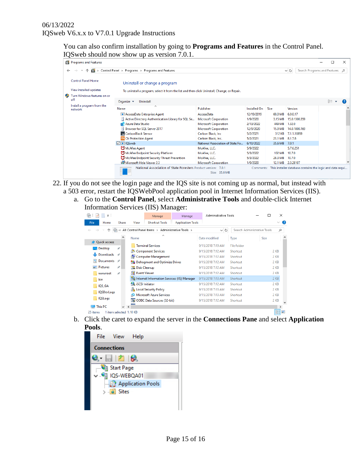You can also confirm installation by going to **Programs and Features** in the Control Panel. IQSweb should now show up as version 7.0.1.

| Programs and Features                 |                                                                                              |                                  |                     |         |                                                           | п  | ×             |
|---------------------------------------|----------------------------------------------------------------------------------------------|----------------------------------|---------------------|---------|-----------------------------------------------------------|----|---------------|
|                                       | > Control Panel > Programs > Programs and Features                                           |                                  |                     |         | Search Programs and Features<br>V Ö                       |    | $\mathcal{Q}$ |
| <b>Control Panel Home</b>             | Uninstall or change a program                                                                |                                  |                     |         |                                                           |    |               |
| View installed updates                | To uninstall a program, select it from the list and then click Uninstall, Change, or Repair. |                                  |                     |         |                                                           |    |               |
| ⊕<br>Turn Windows features on or      |                                                                                              |                                  |                     |         |                                                           |    |               |
| off                                   | Uninstall<br>Organize $\blacktriangledown$                                                   |                                  |                     |         |                                                           | 距→ |               |
| Install a program from the<br>network | $\overline{\phantom{a}}$<br>Name                                                             | <b>Publisher</b>                 | <b>Installed On</b> | Size    | Version                                                   |    |               |
|                                       | <b>BE AccessData Enterprise Agent</b>                                                        | AccessData                       | 12/19/2019          | 60.0 MB | 6.0.0.17                                                  |    |               |
|                                       | Active Directory Authentication Library for SQL Se                                           | <b>Microsoft Corporation</b>     | 1/9/2020            | 3.15 MB | 15.0.1300.359                                             |    |               |
|                                       | Azure Data Studio                                                                            | <b>Microsoft Corporation</b>     | 2/13/2022           | 449 MB  | 1.32.0                                                    |    |               |
|                                       | Browser for SQL Server 2017                                                                  | <b>Microsoft Corporation</b>     | 12/9/2020           | 15.9 MB | 14.0.1000.169                                             |    |               |
|                                       | CarbonBlack Sensor                                                                           | Carbon Black, Inc.               | 5/2/2021            | 312 KB  | 7.1.1.16959                                               |    |               |
|                                       | Cb Cb Protection Agent                                                                       | Carbon Black, Inc.               | 5/2/2021            | 23.1 MB | 8.1.7.6                                                   |    |               |
|                                       | <b><del>○</del></b> IOSweb                                                                   | National Association of State Fo | 6/10/2022           | 35.6 MB | 7.0.1                                                     |    |               |
|                                       | McAfee Agent                                                                                 | McAfee, LLC.                     | 5/9/2022            |         | 5.7.6.251                                                 |    |               |
|                                       | McAfee Endpoint Security Platform                                                            | McAfee, LLC.                     | 5/3/2022            | 102 MB  | 10.7.0                                                    |    |               |
|                                       | McAfee Endpoint Security Threat Prevention                                                   | McAfee, LLC.                     | 5/3/2022            | 28.3 MB | 10.7.0                                                    |    |               |
|                                       | Microsoft Help Viewer 2.3                                                                    | <b>Microsoft Corporation</b>     | 1/9/2020            |         | 12.1 MB 2.3.28107                                         |    |               |
|                                       | National Association of State Foresters Product version: 7.0.1                               | 35.6 MB<br>Size:                 | Comments:           |         | This installer database contains the logic and data requi |    |               |

- 22. If you do not see the login page and the IQS site is not coming up as normal, but instead with a 503 error, restart the IQSWebPool application pool in Internet Information Services (IIS).
	- a. Go to the **Control Panel**, select **Administrative Tools** and double-click Internet Information Services (IIS) Manager:

| 穯<br>$\overline{\mathbf{v}}$        |               |                     | Manage                                             | Manage                   | Administrative Tools |             | п                           | ×            |                          |
|-------------------------------------|---------------|---------------------|----------------------------------------------------|--------------------------|----------------------|-------------|-----------------------------|--------------|--------------------------|
| <b>File</b><br>Home                 | Share         | View                | <b>Shortcut Tools</b>                              | <b>Application Tools</b> |                      |             |                             | $\checkmark$ | Ø                        |
|                                     |               |                     | « All Control Panel Items > Administrative Tools > |                          | √ ⊙                  |             | Search Administrative Tools | ٩            |                          |
|                                     |               | Name                |                                                    |                          | Date modified        | Type        | Size                        |              | ۸                        |
| <b>A</b> Quick access               |               |                     | <b>Terminal Services</b>                           |                          | 9/15/2018 7:19 AM    | File folder |                             |              |                          |
| Desktop                             | À             |                     | Component Services                                 |                          | 9/15/2018 7:12 AM    | Shortcut    |                             | 2 KB         |                          |
| Downloads                           | $\mathcal{A}$ |                     | Computer Management                                |                          | 9/15/2018 7:12 AM    | Shortcut    |                             | 2 KB         |                          |
| 傽<br>Documents                      | $\mathcal{A}$ |                     |                                                    |                          |                      |             |                             |              |                          |
| <b>Pictures</b>                     | À             |                     | <b>Na Defragment and Optimize Drives</b>           |                          | 9/15/2018 7:12 AM    | Shortcut    |                             | 2 KB         |                          |
|                                     |               | <b>Disk Cleanup</b> |                                                    |                          | 9/15/2018 7:12 AM    | Shortcut    |                             | 2 KB         |                          |
| wwwroot                             | À             | ■ Event Viewer      |                                                    |                          | 9/15/2018 7:12 AM    | Shortcut    |                             | 2 KB         |                          |
| bin                                 |               |                     | internet Information Services (IIS) Manager        |                          | 9/15/2018 7:13 AM    | Shortcut    |                             | $2$ KB       |                          |
| IQS_GA                              |               | iSCSI Initiator     |                                                    |                          | 9/15/2018 7:12 AM    | Shortcut    |                             | 2 KB         |                          |
| <b>IQSDevLogs</b>                   |               |                     | Local Security Policy                              |                          | 9/15/2018 7:13 AM    | Shortcut    |                             | $2$ KB       |                          |
|                                     |               | æ                   | <b>Microsoft Azure Services</b>                    |                          | 9/15/2018 7:13 AM    | Shortcut    |                             | 2 KB         |                          |
| <b>IQSLogs</b>                      |               |                     | ODBC Data Sources (32-bit)                         |                          | 9/15/2018 7:12 AM    | Shortcut    |                             | 2 KB         |                          |
| <b>This PC</b>                      |               |                     |                                                    |                          |                      |             |                             | ≯            |                          |
| 1 item selected 1.10 KB<br>25 items |               |                     |                                                    |                          |                      |             |                             | 胆            | $\overline{\phantom{a}}$ |
|                                     |               |                     |                                                    |                          |                      |             |                             |              |                          |

b. Click the caret to expand the server in the **Connections Pane** and select **Application Pools**.

|                    | File View Help                 |                          |  |
|--------------------|--------------------------------|--------------------------|--|
| <b>Connections</b> |                                |                          |  |
|                    | 8 HP 68                        |                          |  |
|                    | Start Page                     |                          |  |
|                    | $\vee$ $\bigoplus$ IQS-WEBQA01 |                          |  |
|                    |                                | <b>Application Pools</b> |  |
|                    | $>$ $\bullet$ Sites            |                          |  |
|                    |                                |                          |  |
|                    |                                |                          |  |